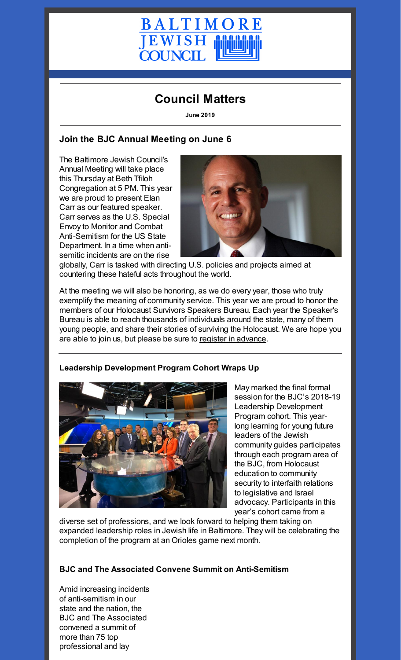

# **Council Matters**

**June 2019**

### **Join the BJC Annual Meeting on June 6**

The Baltimore Jewish Council's Annual Meeting will take place this Thursday at Beth Tfiloh Congregation at 5 PM. This year we are proud to present Elan Carr as our featured speaker. Carr serves as the U.S. Special Envoy to Monitor and Combat Anti-Semitism for the US State Department. In a time when antisemitic incidents are on the rise



globally, Carr is tasked with directing U.S. policies and projects aimed at countering these hateful acts throughout the world.

At the meeting we will also be honoring, as we do every year, those who truly exemplify the meaning of community service. This year we are proud to honor the members of our Holocaust Survivors Speakers Bureau. Each year the Speaker's Bureau is able to reach thousands of individuals around the state, many of them young people, and share their stories of surviving the Holocaust. We are hope you are able to join us, but please be sure to register in [advance](https://www.picatic.com/AnnualMeeting19).



#### **Leadership Development Program Cohort Wraps Up**

May marked the final formal session for the BJC's 2018-19 Leadership Development Program cohort. This yearlong learning for young future leaders of the Jewish community guides participates through each program area of the BJC, from Holocaust education to community security to interfaith relations to legislative and Israel advocacy. Participants in this year's cohort came from a

diverse set of professions, and we look forward to helping them taking on expanded leadership roles in Jewish life in Baltimore. They will be celebrating the completion of the program at an Orioles game next month.

#### **BJC and The Associated Convene Summit on Anti-Semitism**

Amid increasing incidents of anti-semitism in our state and the nation, the BJC and The Associated convened a summit of more than 75 top professional and lay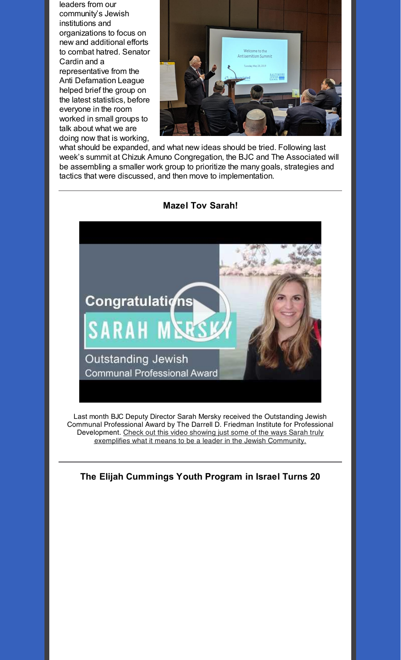leaders from our community's Jewish institutions and organizations to focus on new and additional efforts to combat hatred. Senator Cardin and a representative from the Anti Defamation League helped brief the group on the latest statistics, before everyone in the room worked in small groups to talk about what we are doing now that is working,



what should be expanded, and what new ideas should be tried. Following last week's summit at Chizuk Amuno Congregation, the BJC and The Associated will be assembling a smaller work group to prioritize the many goals, strategies and tactics that were discussed, and then move to implementation.



Last month BJC Deputy Director Sarah Mersky received the Outstanding Jewish Communal Professional Award by The Darrell D. Friedman Institute for Professional Development. Check out this video showing just some of the ways Sarah truly exemplifies what it means to be a leader in the Jewish [Community.](https://www.youtube.com/watch?v=k3dulnzFjnI&t=6s)

**The Elijah Cummings Youth Program in Israel Turns 20**